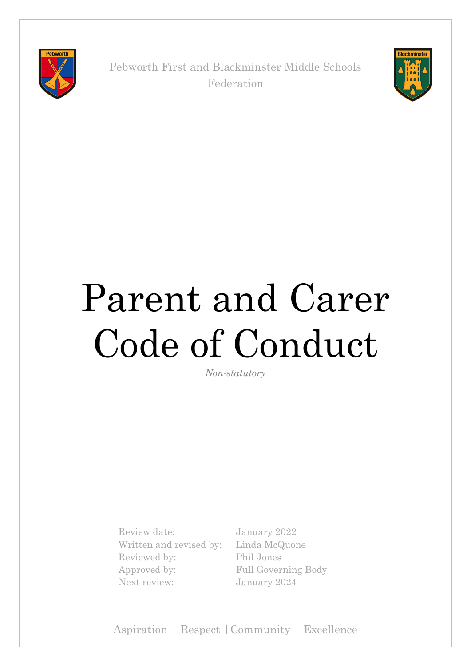

Pebworth First and Blackminster Middle Schools Federation



# Parent and Carer Code of Conduct

*Non-statutory*

Review date: January 2022 Written and revised by: Linda McQuone Reviewed by: Phil Jones Approved by: Full Governing Body Next review: January 2024

Aspiration | Respect |Community | Excellence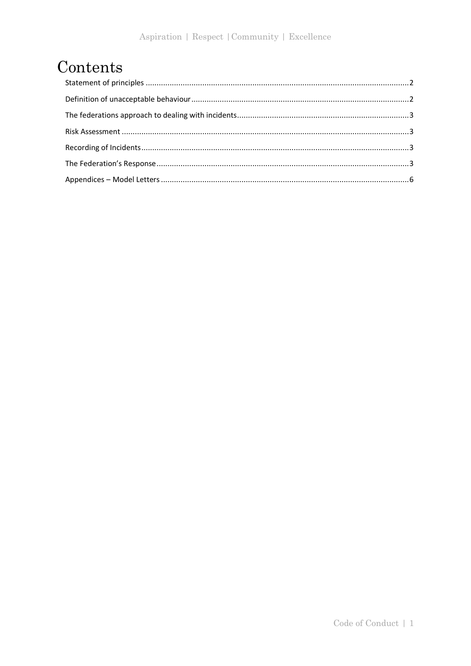## Contents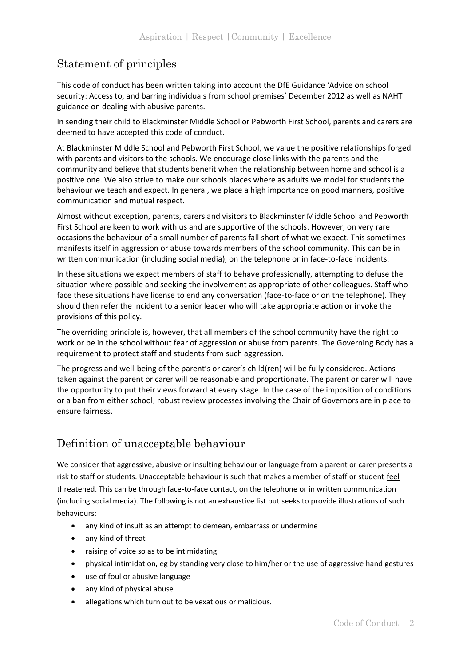## <span id="page-2-0"></span>Statement of principles

This code of conduct has been written taking into account the DfE Guidance 'Advice on school security: Access to, and barring individuals from school premises' December 2012 as well as NAHT guidance on dealing with abusive parents.

In sending their child to Blackminster Middle School or Pebworth First School, parents and carers are deemed to have accepted this code of conduct.

At Blackminster Middle School and Pebworth First School, we value the positive relationships forged with parents and visitors to the schools. We encourage close links with the parents and the community and believe that students benefit when the relationship between home and school is a positive one. We also strive to make our schools places where as adults we model for students the behaviour we teach and expect. In general, we place a high importance on good manners, positive communication and mutual respect.

Almost without exception, parents, carers and visitors to Blackminster Middle School and Pebworth First School are keen to work with us and are supportive of the schools. However, on very rare occasions the behaviour of a small number of parents fall short of what we expect. This sometimes manifests itself in aggression or abuse towards members of the school community. This can be in written communication (including social media), on the telephone or in face-to-face incidents.

In these situations we expect members of staff to behave professionally, attempting to defuse the situation where possible and seeking the involvement as appropriate of other colleagues. Staff who face these situations have license to end any conversation (face-to-face or on the telephone). They should then refer the incident to a senior leader who will take appropriate action or invoke the provisions of this policy.

The overriding principle is, however, that all members of the school community have the right to work or be in the school without fear of aggression or abuse from parents. The Governing Body has a requirement to protect staff and students from such aggression.

The progress and well-being of the parent's or carer's child(ren) will be fully considered. Actions taken against the parent or carer will be reasonable and proportionate. The parent or carer will have the opportunity to put their views forward at every stage. In the case of the imposition of conditions or a ban from either school, robust review processes involving the Chair of Governors are in place to ensure fairness.

## <span id="page-2-1"></span>Definition of unacceptable behaviour

We consider that aggressive, abusive or insulting behaviour or language from a parent or carer presents a risk to staff or students. Unacceptable behaviour is such that makes a member of staff or student feel threatened. This can be through face-to-face contact, on the telephone or in written communication (including social media). The following is not an exhaustive list but seeks to provide illustrations of such behaviours:

- any kind of insult as an attempt to demean, embarrass or undermine
- any kind of threat
- raising of voice so as to be intimidating
- physical intimidation, eg by standing very close to him/her or the use of aggressive hand gestures
- use of foul or abusive language
- any kind of physical abuse
- allegations which turn out to be vexatious or malicious.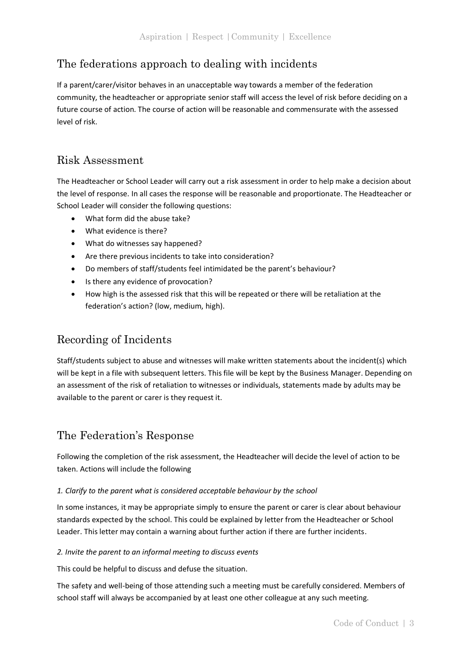## <span id="page-3-0"></span>The federations approach to dealing with incidents

If a parent/carer/visitor behaves in an unacceptable way towards a member of the federation community, the headteacher or appropriate senior staff will access the level of risk before deciding on a future course of action. The course of action will be reasonable and commensurate with the assessed level of risk.

## <span id="page-3-1"></span>Risk Assessment

The Headteacher or School Leader will carry out a risk assessment in order to help make a decision about the level of response. In all cases the response will be reasonable and proportionate. The Headteacher or School Leader will consider the following questions:

- What form did the abuse take?
- What evidence is there?
- What do witnesses say happened?
- Are there previous incidents to take into consideration?
- Do members of staff/students feel intimidated be the parent's behaviour?
- Is there any evidence of provocation?
- How high is the assessed risk that this will be repeated or there will be retaliation at the federation's action? (low, medium, high).

## <span id="page-3-2"></span>Recording of Incidents

Staff/students subject to abuse and witnesses will make written statements about the incident(s) which will be kept in a file with subsequent letters. This file will be kept by the Business Manager. Depending on an assessment of the risk of retaliation to witnesses or individuals, statements made by adults may be available to the parent or carer is they request it.

## <span id="page-3-3"></span>The Federation's Response

Following the completion of the risk assessment, the Headteacher will decide the level of action to be taken. Actions will include the following

## *1. Clarify to the parent what is considered acceptable behaviour by the school*

In some instances, it may be appropriate simply to ensure the parent or carer is clear about behaviour standards expected by the school. This could be explained by letter from the Headteacher or School Leader. This letter may contain a warning about further action if there are further incidents.

## *2. Invite the parent to an informal meeting to discuss events*

This could be helpful to discuss and defuse the situation.

The safety and well-being of those attending such a meeting must be carefully considered. Members of school staff will always be accompanied by at least one other colleague at any such meeting.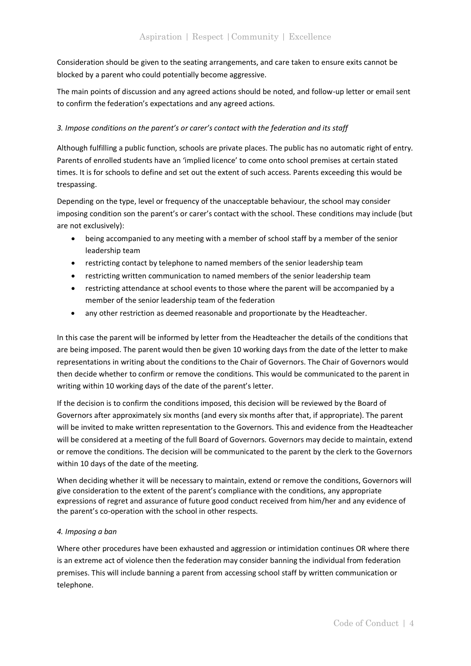Consideration should be given to the seating arrangements, and care taken to ensure exits cannot be blocked by a parent who could potentially become aggressive.

The main points of discussion and any agreed actions should be noted, and follow-up letter or email sent to confirm the federation's expectations and any agreed actions.

## *3. Impose conditions on the parent's or carer's contact with the federation and its staff*

Although fulfilling a public function, schools are private places. The public has no automatic right of entry. Parents of enrolled students have an 'implied licence' to come onto school premises at certain stated times. It is for schools to define and set out the extent of such access. Parents exceeding this would be trespassing.

Depending on the type, level or frequency of the unacceptable behaviour, the school may consider imposing condition son the parent's or carer's contact with the school. These conditions may include (but are not exclusively):

- being accompanied to any meeting with a member of school staff by a member of the senior leadership team
- restricting contact by telephone to named members of the senior leadership team
- restricting written communication to named members of the senior leadership team
- restricting attendance at school events to those where the parent will be accompanied by a member of the senior leadership team of the federation
- any other restriction as deemed reasonable and proportionate by the Headteacher.

In this case the parent will be informed by letter from the Headteacher the details of the conditions that are being imposed. The parent would then be given 10 working days from the date of the letter to make representations in writing about the conditions to the Chair of Governors. The Chair of Governors would then decide whether to confirm or remove the conditions. This would be communicated to the parent in writing within 10 working days of the date of the parent's letter.

If the decision is to confirm the conditions imposed, this decision will be reviewed by the Board of Governors after approximately six months (and every six months after that, if appropriate). The parent will be invited to make written representation to the Governors. This and evidence from the Headteacher will be considered at a meeting of the full Board of Governors. Governors may decide to maintain, extend or remove the conditions. The decision will be communicated to the parent by the clerk to the Governors within 10 days of the date of the meeting.

When deciding whether it will be necessary to maintain, extend or remove the conditions, Governors will give consideration to the extent of the parent's compliance with the conditions, any appropriate expressions of regret and assurance of future good conduct received from him/her and any evidence of the parent's co-operation with the school in other respects.

## *4. Imposing a ban*

Where other procedures have been exhausted and aggression or intimidation continues OR where there is an extreme act of violence then the federation may consider banning the individual from federation premises. This will include banning a parent from accessing school staff by written communication or telephone.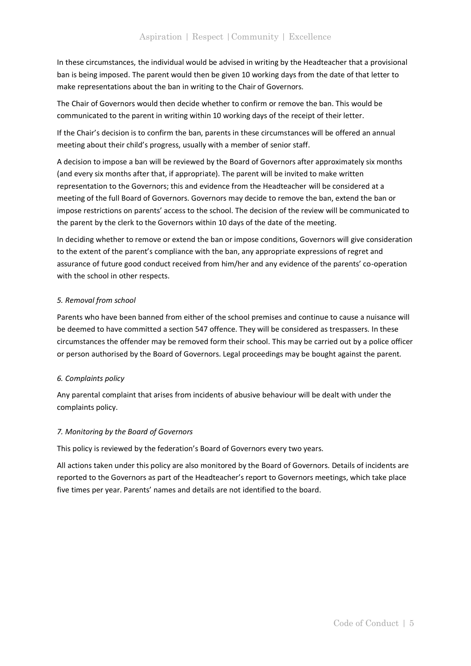In these circumstances, the individual would be advised in writing by the Headteacher that a provisional ban is being imposed. The parent would then be given 10 working days from the date of that letter to make representations about the ban in writing to the Chair of Governors.

The Chair of Governors would then decide whether to confirm or remove the ban. This would be communicated to the parent in writing within 10 working days of the receipt of their letter.

If the Chair's decision is to confirm the ban, parents in these circumstances will be offered an annual meeting about their child's progress, usually with a member of senior staff.

A decision to impose a ban will be reviewed by the Board of Governors after approximately six months (and every six months after that, if appropriate). The parent will be invited to make written representation to the Governors; this and evidence from the Headteacher will be considered at a meeting of the full Board of Governors. Governors may decide to remove the ban, extend the ban or impose restrictions on parents' access to the school. The decision of the review will be communicated to the parent by the clerk to the Governors within 10 days of the date of the meeting.

In deciding whether to remove or extend the ban or impose conditions, Governors will give consideration to the extent of the parent's compliance with the ban, any appropriate expressions of regret and assurance of future good conduct received from him/her and any evidence of the parents' co-operation with the school in other respects.

## *5. Removal from school*

Parents who have been banned from either of the school premises and continue to cause a nuisance will be deemed to have committed a section 547 offence. They will be considered as trespassers. In these circumstances the offender may be removed form their school. This may be carried out by a police officer or person authorised by the Board of Governors. Legal proceedings may be bought against the parent.

## *6. Complaints policy*

Any parental complaint that arises from incidents of abusive behaviour will be dealt with under the complaints policy.

## *7. Monitoring by the Board of Governors*

This policy is reviewed by the federation's Board of Governors every two years.

All actions taken under this policy are also monitored by the Board of Governors. Details of incidents are reported to the Governors as part of the Headteacher's report to Governors meetings, which take place five times per year. Parents' names and details are not identified to the board.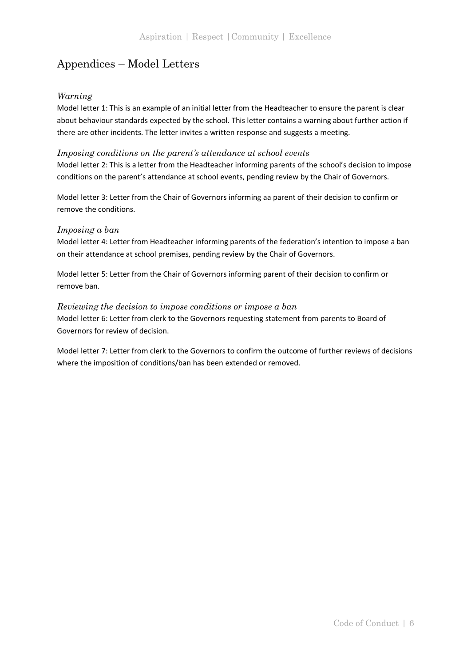## <span id="page-6-0"></span>Appendices – Model Letters

## *Warning*

Model letter 1: This is an example of an initial letter from the Headteacher to ensure the parent is clear about behaviour standards expected by the school. This letter contains a warning about further action if there are other incidents. The letter invites a written response and suggests a meeting.

## *Imposing conditions on the parent's attendance at school events*

Model letter 2: This is a letter from the Headteacher informing parents of the school's decision to impose conditions on the parent's attendance at school events, pending review by the Chair of Governors.

Model letter 3: Letter from the Chair of Governors informing aa parent of their decision to confirm or remove the conditions.

## *Imposing a ban*

Model letter 4: Letter from Headteacher informing parents of the federation's intention to impose a ban on their attendance at school premises, pending review by the Chair of Governors.

Model letter 5: Letter from the Chair of Governors informing parent of their decision to confirm or remove ban.

## *Reviewing the decision to impose conditions or impose a ban*

Model letter 6: Letter from clerk to the Governors requesting statement from parents to Board of Governors for review of decision.

Model letter 7: Letter from clerk to the Governors to confirm the outcome of further reviews of decisions where the imposition of conditions/ban has been extended or removed.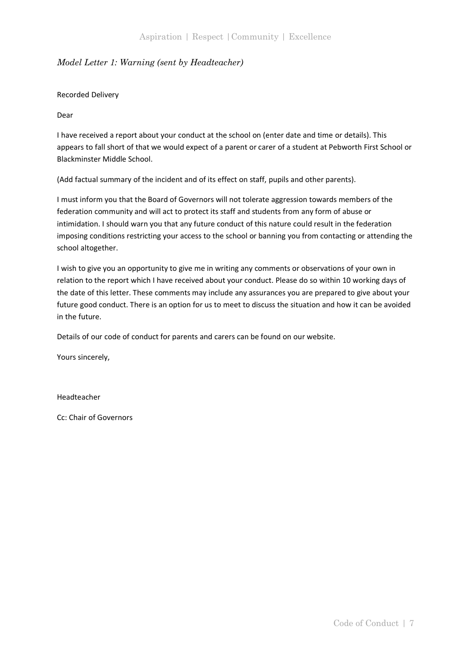## *Model Letter 1: Warning (sent by Headteacher)*

#### Recorded Delivery

#### Dear

I have received a report about your conduct at the school on (enter date and time or details). This appears to fall short of that we would expect of a parent or carer of a student at Pebworth First School or Blackminster Middle School.

(Add factual summary of the incident and of its effect on staff, pupils and other parents).

I must inform you that the Board of Governors will not tolerate aggression towards members of the federation community and will act to protect its staff and students from any form of abuse or intimidation. I should warn you that any future conduct of this nature could result in the federation imposing conditions restricting your access to the school or banning you from contacting or attending the school altogether.

I wish to give you an opportunity to give me in writing any comments or observations of your own in relation to the report which I have received about your conduct. Please do so within 10 working days of the date of this letter. These comments may include any assurances you are prepared to give about your future good conduct. There is an option for us to meet to discuss the situation and how it can be avoided in the future.

Details of our code of conduct for parents and carers can be found on our website.

Yours sincerely,

Headteacher

Cc: Chair of Governors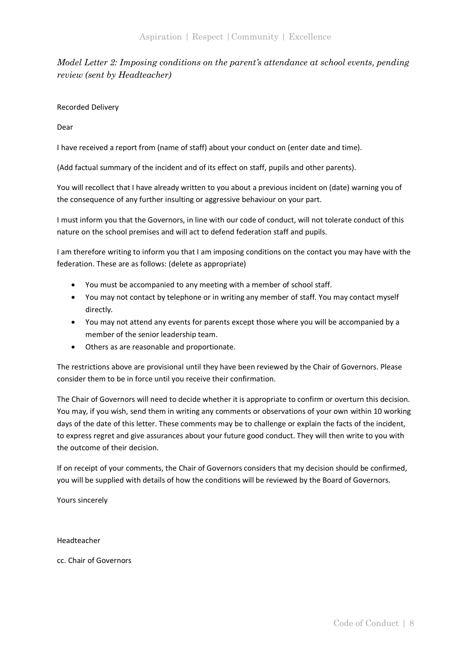*Model Letter 2: Imposing conditions on the parent's attendance at school events, pending review (sent by Headteacher)*

Recorded Delivery

Dear

I have received a report from (name of staff) about your conduct on (enter date and time).

(Add factual summary of the incident and of its effect on staff, pupils and other parents).

You will recollect that I have already written to you about a previous incident on (date) warning you of the consequence of any further insulting or aggressive behaviour on your part.

I must inform you that the Governors, in line with our code of conduct, will not tolerate conduct of this nature on the school premises and will act to defend federation staff and pupils.

I am therefore writing to inform you that I am imposing conditions on the contact you may have with the federation. These are as follows: (delete as appropriate)

- You must be accompanied to any meeting with a member of school staff.
- You may not contact by telephone or in writing any member of staff. You may contact myself directly.
- You may not attend any events for parents except those where you will be accompanied by a member of the senior leadership team.
- Others as are reasonable and proportionate.

The restrictions above are provisional until they have been reviewed by the Chair of Governors. Please consider them to be in force until you receive their confirmation.

The Chair of Governors will need to decide whether it is appropriate to confirm or overturn this decision. You may, if you wish, send them in writing any comments or observations of your own within 10 working days of the date of this letter. These comments may be to challenge or explain the facts of the incident, to express regret and give assurances about your future good conduct. They will then write to you with the outcome of their decision.

If on receipt of your comments, the Chair of Governors considers that my decision should be confirmed, you will be supplied with details of how the conditions will be reviewed by the Board of Governors.

Yours sincerely

Headteacher

cc. Chair of Governors

Code of Conduct | 8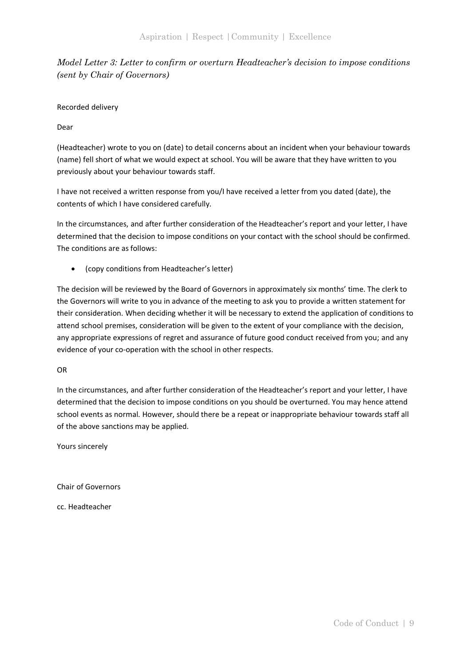*Model Letter 3: Letter to confirm or overturn Headteacher's decision to impose conditions (sent by Chair of Governors)*

Recorded delivery

Dear

(Headteacher) wrote to you on (date) to detail concerns about an incident when your behaviour towards (name) fell short of what we would expect at school. You will be aware that they have written to you previously about your behaviour towards staff.

I have not received a written response from you/I have received a letter from you dated (date), the contents of which I have considered carefully.

In the circumstances, and after further consideration of the Headteacher's report and your letter, I have determined that the decision to impose conditions on your contact with the school should be confirmed. The conditions are as follows:

• (copy conditions from Headteacher's letter)

The decision will be reviewed by the Board of Governors in approximately six months' time. The clerk to the Governors will write to you in advance of the meeting to ask you to provide a written statement for their consideration. When deciding whether it will be necessary to extend the application of conditions to attend school premises, consideration will be given to the extent of your compliance with the decision, any appropriate expressions of regret and assurance of future good conduct received from you; and any evidence of your co-operation with the school in other respects.

## OR

In the circumstances, and after further consideration of the Headteacher's report and your letter, I have determined that the decision to impose conditions on you should be overturned. You may hence attend school events as normal. However, should there be a repeat or inappropriate behaviour towards staff all of the above sanctions may be applied.

Yours sincerely

Chair of Governors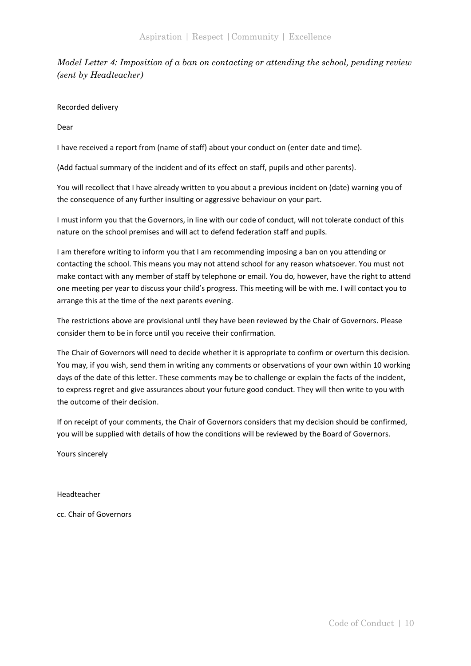*Model Letter 4: Imposition of a ban on contacting or attending the school, pending review (sent by Headteacher)*

Recorded delivery

Dear

I have received a report from (name of staff) about your conduct on (enter date and time).

(Add factual summary of the incident and of its effect on staff, pupils and other parents).

You will recollect that I have already written to you about a previous incident on (date) warning you of the consequence of any further insulting or aggressive behaviour on your part.

I must inform you that the Governors, in line with our code of conduct, will not tolerate conduct of this nature on the school premises and will act to defend federation staff and pupils.

I am therefore writing to inform you that I am recommending imposing a ban on you attending or contacting the school. This means you may not attend school for any reason whatsoever. You must not make contact with any member of staff by telephone or email. You do, however, have the right to attend one meeting per year to discuss your child's progress. This meeting will be with me. I will contact you to arrange this at the time of the next parents evening.

The restrictions above are provisional until they have been reviewed by the Chair of Governors. Please consider them to be in force until you receive their confirmation.

The Chair of Governors will need to decide whether it is appropriate to confirm or overturn this decision. You may, if you wish, send them in writing any comments or observations of your own within 10 working days of the date of this letter. These comments may be to challenge or explain the facts of the incident, to express regret and give assurances about your future good conduct. They will then write to you with the outcome of their decision.

If on receipt of your comments, the Chair of Governors considers that my decision should be confirmed, you will be supplied with details of how the conditions will be reviewed by the Board of Governors.

Yours sincerely

Headteacher

cc. Chair of Governors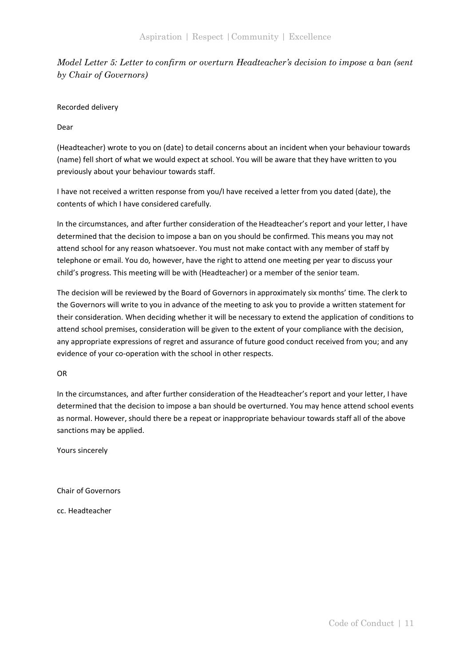*Model Letter 5: Letter to confirm or overturn Headteacher's decision to impose a ban (sent by Chair of Governors)*

Recorded delivery

Dear

(Headteacher) wrote to you on (date) to detail concerns about an incident when your behaviour towards (name) fell short of what we would expect at school. You will be aware that they have written to you previously about your behaviour towards staff.

I have not received a written response from you/I have received a letter from you dated (date), the contents of which I have considered carefully.

In the circumstances, and after further consideration of the Headteacher's report and your letter, I have determined that the decision to impose a ban on you should be confirmed. This means you may not attend school for any reason whatsoever. You must not make contact with any member of staff by telephone or email. You do, however, have the right to attend one meeting per year to discuss your child's progress. This meeting will be with (Headteacher) or a member of the senior team.

The decision will be reviewed by the Board of Governors in approximately six months' time. The clerk to the Governors will write to you in advance of the meeting to ask you to provide a written statement for their consideration. When deciding whether it will be necessary to extend the application of conditions to attend school premises, consideration will be given to the extent of your compliance with the decision, any appropriate expressions of regret and assurance of future good conduct received from you; and any evidence of your co-operation with the school in other respects.

OR

In the circumstances, and after further consideration of the Headteacher's report and your letter, I have determined that the decision to impose a ban should be overturned. You may hence attend school events as normal. However, should there be a repeat or inappropriate behaviour towards staff all of the above sanctions may be applied.

Yours sincerely

Chair of Governors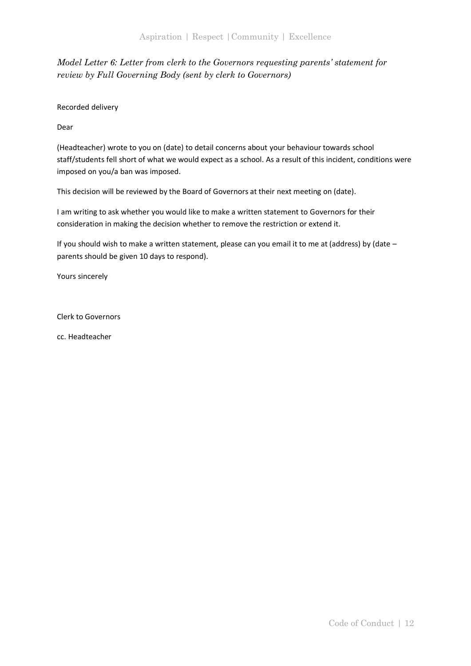## *Model Letter 6: Letter from clerk to the Governors requesting parents' statement for review by Full Governing Body (sent by clerk to Governors)*

Recorded delivery

Dear

(Headteacher) wrote to you on (date) to detail concerns about your behaviour towards school staff/students fell short of what we would expect as a school. As a result of this incident, conditions were imposed on you/a ban was imposed.

This decision will be reviewed by the Board of Governors at their next meeting on (date).

I am writing to ask whether you would like to make a written statement to Governors for their consideration in making the decision whether to remove the restriction or extend it.

If you should wish to make a written statement, please can you email it to me at (address) by (date – parents should be given 10 days to respond).

Yours sincerely

Clerk to Governors